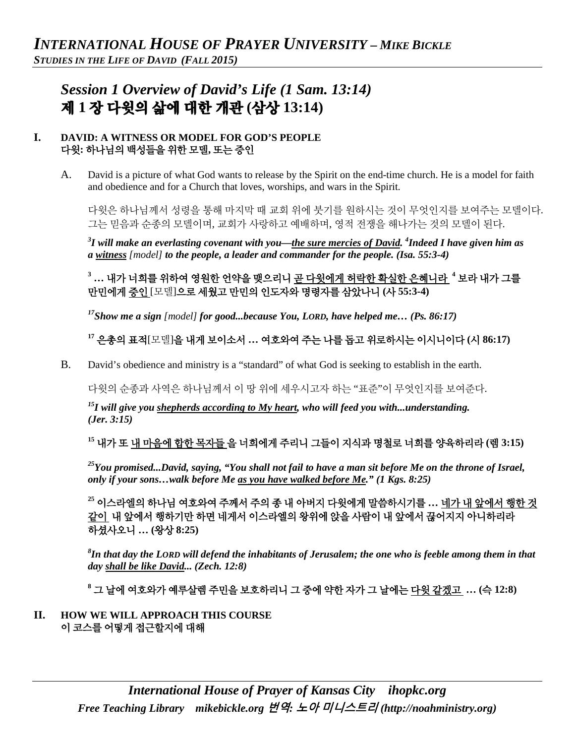# *Session 1 Overview of David's Life (1 Sam. 13:14)*  제 **1** 장 다윗의 삶에 대한 개관 **(**삼상 **13:14)**

#### **I. DAVID: A WITNESS OR MODEL FOR GOD'S PEOPLE**  다윗**:** 하나님의 백성들을 위한 모델**,** 또는 증인

A. David is a picture of what God wants to release by the Spirit on the end-time church. He is a model for faith and obedience and for a Church that loves, worships, and wars in the Spirit.

다윗은 하나님께서 성령을 통해 마지막 때 교회 위에 붓기를 원하시는 것이 무엇인지를 보여주는 모델이다. 그는 믿음과 순종의 모델이며, 교회가 사랑하고 예배하며, 영적 전쟁을 해나가는 것의 모델이 된다.

*3 I will make an everlasting covenant with you—the sure mercies of David. <sup>4</sup> Indeed I have given him as a witness [model] to the people, a leader and commander for the people. (Isa. 55:3-4)*

**<sup>3</sup> …** 내가 너희를 위하여 영원한 언약을 맺으리니 곧 다윗에게 허락한 확실한 은혜니라 **<sup>4</sup>** 보라 내가 그를 만민에게 증인 [모델]으로 세웠고 만민의 인도자와 명령자를 삼았나니 **(**사 **55:3-4)**

*17Show me a sign [model] for good...because You, LORD, have helped me… (Ps. 86:17)* 

**<sup>17</sup>** 은총의 표적[모델]을 내게 보이소서 **…** 여호와여 주는 나를 돕고 위로하시는 이시니이다 **(**시 **86:17)**

B. David's obedience and ministry is a "standard" of what God is seeking to establish in the earth.

다윗의 순종과 사역은 하나님께서 이 땅 위에 세우시고자 하는 "표준"이 무엇인지를 보여준다.

*15I will give you shepherds according to My heart, who will feed you with...understanding. (Jer. 3:15)* 

**<sup>15</sup>** 내가 또 내 마음에 합한 목자들 을 너희에게 주리니 그들이 지식과 명철로 너희를 양육하리라 **(**렘 **3:15)**

*25You promised...David, saying, "You shall not fail to have a man sit before Me on the throne of Israel, only if your sons…walk before Me as you have walked before Me." (1 Kgs. 8:25)*

**<sup>25</sup>** 이스라엘의 하나님 여호와여 주께서 주의 종 내 아버지 다윗에게 말씀하시기를 **…** 네가 내 앞에서 행한 것 같이 내 앞에서 행하기만 하면 네게서 이스라엘의 왕위에 앉을 사람이 내 앞에서 끊어지지 아니하리라 하셨사오니 **… (**왕상 **8:25)**

*8 In that day the LORD will defend the inhabitants of Jerusalem; the one who is feeble among them in that day shall be like David... (Zech. 12:8)* 

**<sup>8</sup>** 그 날에 여호와가 예루살렘 주민을 보호하리니 그 중에 약한 자가 그 날에는 다윗 같겠고 **… (**슥 **12:8)**

**II. HOW WE WILL APPROACH THIS COURSE**  이 코스를 어떻게 접근할지에 대해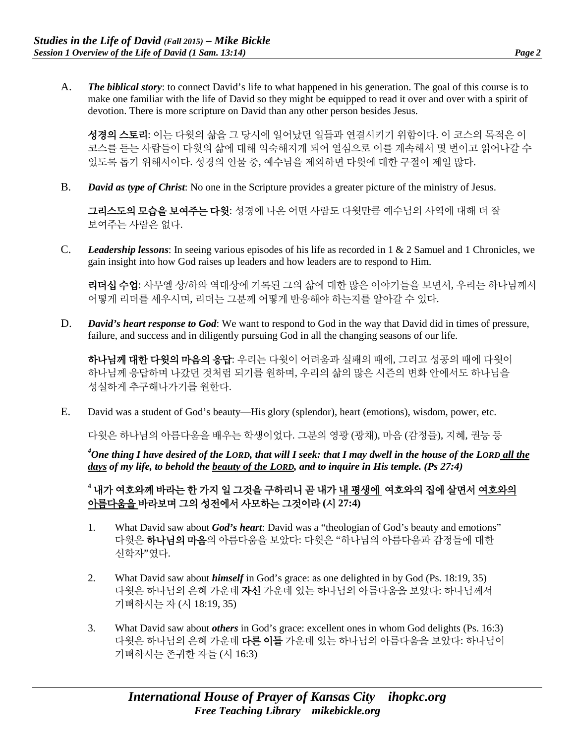A. *The biblical story*: to connect David's life to what happened in his generation. The goal of this course is to make one familiar with the life of David so they might be equipped to read it over and over with a spirit of devotion. There is more scripture on David than any other person besides Jesus.

성경의 스토리: 이는 다윗의 삶을 그 당시에 일어났던 일들과 연결시키기 위함이다. 이 코스의 목적은 이 코스를 듣는 사람들이 다윗의 삶에 대해 익숙해지게 되어 열심으로 이를 계속해서 몇 번이고 읽어나갈 수 있도록 돕기 위해서이다. 성경의 인물 중, 예수님을 제외하면 다윗에 대한 구절이 제일 많다.

B. *David as type of Christ*: No one in the Scripture provides a greater picture of the ministry of Jesus.

그리스도의 모습을 보여주는 다윗: 성경에 나온 어떤 사람도 다윗만큼 예수님의 사역에 대해 더 잘 보여주는 사람은 없다.

C. *Leadership lessons*: In seeing various episodes of his life as recorded in 1 & 2 Samuel and 1 Chronicles, we gain insight into how God raises up leaders and how leaders are to respond to Him.

리더십 수업: 사무엘 상/하와 역대상에 기록된 그의 삶에 대한 많은 이야기들을 보면서, 우리는 하나님께서 어떻게 리더를 세우시며, 리더는 그분께 어떻게 반응해야 하는지를 알아갈 수 있다.

D. *David's heart response to God*: We want to respond to God in the way that David did in times of pressure, failure, and success and in diligently pursuing God in all the changing seasons of our life.

하나님께 대한 다윗의 마음의 응답: 우리는 다윗이 어려움과 실패의 때에, 그리고 성공의 때에 다윗이 하나님께 응답하며 나갔던 것처럼 되기를 원하며, 우리의 삶의 많은 시즌의 변화 안에서도 하나님을 성실하게 추구해나가기를 원한다.

E. David was a student of God's beauty—His glory (splendor), heart (emotions), wisdom, power, etc.

다윗은 하나님의 아름다움을 배우는 학생이었다. 그분의 영광 (광채), 마음 (감정들), 지혜, 권능 등

<sup>4</sup>One thing I have desired of the LORD, that will I seek: that I may dwell in the house of the LORD <u>all the</u> *days of my life, to behold the beauty of the LORD, and to inquire in His temple. (Ps 27:4)*

### **<sup>4</sup>** 내가 여호와께 바라는 한 가지 일 그것을 구하리니 곧 내가 내 평생에 여호와의 집에 살면서 여호와의 아름다움을 바라보며 그의 성전에서 사모하는 그것이라 **(**시 **27:4)**

- 1. What David saw about *God's heart*: David was a "theologian of God's beauty and emotions" 다윗은 하나님의 마음의 아름다움을 보았다: 다윗은 "하나님의 아름다움과 감정들에 대한 신학자"였다.
- 2. What David saw about *himself* in God's grace: as one delighted in by God (Ps. 18:19, 35) 다윗은 하나님의 은혜 가운데 자신 가운데 있는 하나님의 아름다움을 보았다: 하나님께서 기뻐하시는 자 (시 18:19, 35)
- 3. What David saw about *others* in God's grace: excellent ones in whom God delights (Ps. 16:3) 다윗은 하나님의 은혜 가운데 다른 이들 가운데 있는 하나님의 아름다움을 보았다: 하나님이 기뻐하시는 존귀한 자들 (시 16:3)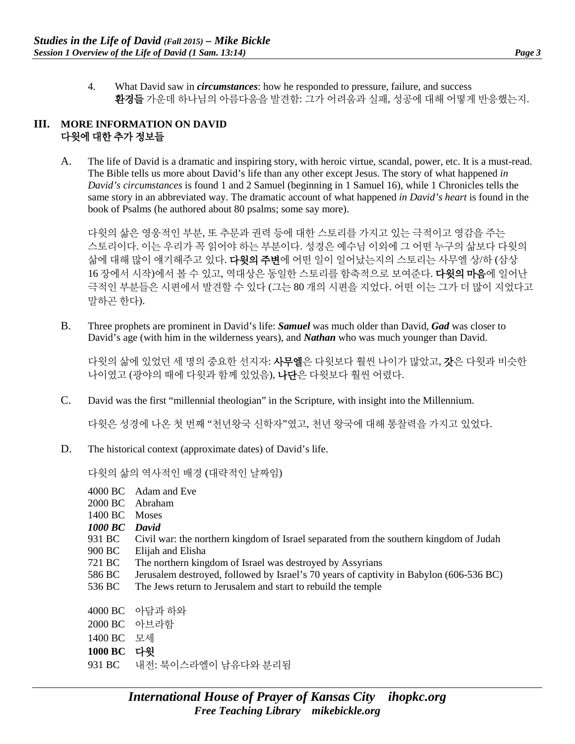4. What David saw in *circumstances*: how he responded to pressure, failure, and success 환경들 가운데 하나님의 아름다움을 발견함: 그가 어려움과 실패, 성공에 대해 어떻게 반응했는지.

#### **III. MORE INFORMATION ON DAVID**  다윗에 대한 추가 정보들

A. The life of David is a dramatic and inspiring story, with heroic virtue, scandal, power, etc. It is a must-read. The Bible tells us more about David's life than any other except Jesus. The story of what happened *in David's circumstances* is found 1 and 2 Samuel (beginning in 1 Samuel 16), while 1 Chronicles tells the same story in an abbreviated way. The dramatic account of what happened *in David's heart* is found in the book of Psalms (he authored about 80 psalms; some say more).

다윗의 삶은 영웅적인 부분, 또 추문과 권력 등에 대한 스토리를 가지고 있는 극적이고 영감을 주는 스토리이다. 이는 우리가 꼭 읽어야 하는 부분이다. 성경은 예수님 이외에 그 어떤 누구의 삶보다 다윗의 삶에 대해 많이 얘기해주고 있다. **다윗의 주변**에 어떤 일이 일어났는지의 스토리는 사무엘 상/하 (삼상 16 장에서 시작)에서 볼 수 있고, 역대상은 동일한 스토리를 함축적으로 보여준다. 다윗의 마음에 일어난 극적인 부분들은 시편에서 발견할 수 있다 (그는 80 개의 시편을 지었다. 어떤 이는 그가 더 많이 지었다고 말하곤 한다).

B. Three prophets are prominent in David's life: *Samuel* was much older than David, *Gad* was closer to David's age (with him in the wilderness years), and *Nathan* who was much younger than David.

다윗의 삶에 있었던 세 명의 중요한 선지자: **사무엘**은 다윗보다 훨씬 나이가 많았고, **갓**은 다윗과 비슷한 나이였고 (광야의 때에 다윗과 함께 있었음), 나단은 다윗보다 훨씬 어렸다.

C. David was the first "millennial theologian" in the Scripture, with insight into the Millennium.

다윗은 성경에 나온 첫 번째 "천년왕국 신학자"였고, 천년 왕국에 대해 통찰력을 가지고 있었다.

D. The historical context (approximate dates) of David's life.

다윗의 삶의 역사적인 배경 (대략적인 날짜임)

4000 BC Adam and Eve 2000 BC Abraham 1400 BC Moses *1000 BC David*  931 BC Civil war: the northern kingdom of Israel separated from the southern kingdom of Judah 900 BC Elijah and Elisha 721 BC The northern kingdom of Israel was destroyed by Assyrians 586 BC Jerusalem destroyed, followed by Israel's 70 years of captivity in Babylon (606-536 BC) 536 BC The Jews return to Jerusalem and start to rebuild the temple 4000 BC 아담과 하와 2000 BC 아브라함 1400 BC 모세 **1000 BC** 다윗 931 BC 내전: 북이스라엘이 남유다와 분리됨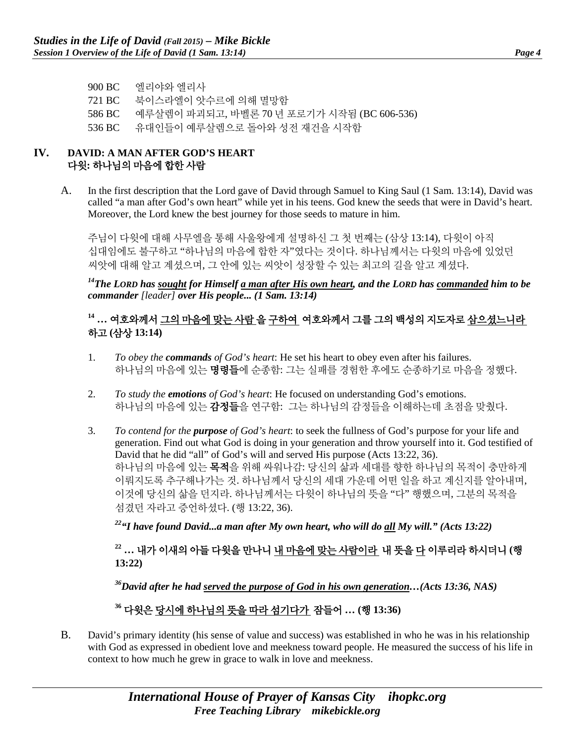900 BC 엘리야와 엘리사 721 BC 북이스라엘이 앗수르에 의해 멸망함 586 BC 예루살렘이 파괴되고, 바벨론 70 년 포로기가 시작됨 (BC 606-536) 536 BC 유대인들이 예루살렘으로 돌아와 성전 재건을 시작함

#### **IV. DAVID: A MAN AFTER GOD'S HEART** 다윗**:** 하나님의 마음에 합한 사람

A. In the first description that the Lord gave of David through Samuel to King Saul (1 Sam. 13:14), David was called "a man after God's own heart" while yet in his teens. God knew the seeds that were in David's heart. Moreover, the Lord knew the best journey for those seeds to mature in him.

주님이 다윗에 대해 사무엘을 통해 사울왕에게 설명하신 그 첫 번째는 (삼상 13:14), 다윗이 아직 십대임에도 불구하고 "하나님의 마음에 합한 자"였다는 것이다. 하나님께서는 다윗의 마음에 있었던 씨앗에 대해 알고 계셨으며, 그 안에 있는 씨앗이 성장할 수 있는 최고의 길을 알고 계셨다.

*14The LORD has sought for Himself a man after His own heart, and the LORD has commanded him to be commander [leader] over His people... (1 Sam. 13:14)*

## **<sup>14</sup> …** 여호와께서 그의 마음에 맞는 사람 을 구하여 여호와께서 그를 그의 백성의 지도자로 삼으셨느니라 하고 **(**삼상 **13:14)**

- 1. *To obey the commands of God's heart*: He set his heart to obey even after his failures. 하나님의 마음에 있는 명령들에 순종함: 그는 실패를 경험한 후에도 순종하기로 마음을 정했다.
- 2. *To study the emotions of God's heart*: He focused on understanding God's emotions. 하나님의 마음에 있는 감정들을 연구함: 그는 하나님의 감정들을 이해하는데 초점을 맞췄다.
- 3. *To contend for the purpose of God's heart*: to seek the fullness of God's purpose for your life and generation. Find out what God is doing in your generation and throw yourself into it. God testified of David that he did "all" of God's will and served His purpose (Acts 13:22, 36). 하나님의 마음에 있는 목적을 위해 싸워나감: 당신의 삶과 세대를 향한 하나님의 목적이 충만하게 이뤄지도록 추구해나가는 것. 하나님께서 당신의 세대 가운데 어떤 일을 하고 계신지를 알아내며, 이것에 당신의 삶을 던지라. 하나님께서는 다윗이 하나님의 뜻을 "다" 행했으며, 그분의 목적을 섬겼던 자라고 증언하셨다. (행 13:22, 36).

*22"I have found David...a man after My own heart, who will do all My will." (Acts 13:22)* 

## **<sup>22</sup> …** 내가 이새의 아들 다윗을 만나니 내 마음에 맞는 사람이라 내 뜻을 다 이루리라 하시더니 **(**행 **13:22)**

*36David after he had served the purpose of God in his own generation…(Acts 13:36, NAS)*

## **<sup>36</sup>** 다윗은 당시에 하나님의 뜻을 따라 섬기다가 잠들어 **… (**행 **13:36)**

B. David's primary identity (his sense of value and success) was established in who he was in his relationship with God as expressed in obedient love and meekness toward people. He measured the success of his life in context to how much he grew in grace to walk in love and meekness.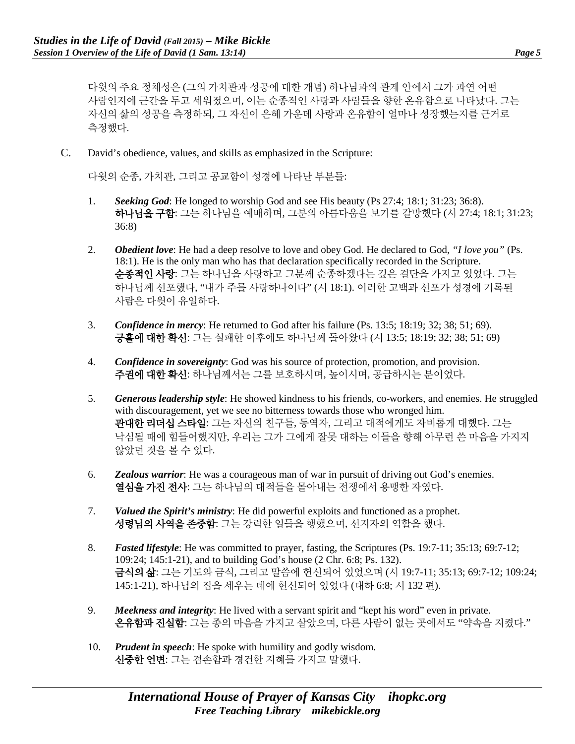다윗의 주요 정체성은 (그의 가치관과 성공에 대한 개념) 하나님과의 관계 안에서 그가 과연 어떤 사람인지에 근간을 두고 세워졌으며, 이는 순종적인 사랑과 사람들을 향한 온유함으로 나타났다. 그는 자신의 삶의 성공을 측정하되, 그 자신이 은혜 가운데 사랑과 온유함이 얼마나 성장했는지를 근거로 측정했다.

C. David's obedience, values, and skills as emphasized in the Scripture:

다윗의 순종, 가치관, 그리고 공교함이 성경에 나타난 부분들:

- 1. *Seeking God*: He longed to worship God and see His beauty (Ps 27:4; 18:1; 31:23; 36:8). 하나님을 구함: 그는 하나님을 예배하며, 그분의 아름다움을 보기를 갈망했다 (시 27:4; 18:1; 31:23; 36:8)
- 2. *Obedient love*: He had a deep resolve to love and obey God. He declared to God, *"I love you"* (Ps. 18:1). He is the only man who has that declaration specifically recorded in the Scripture. 순종적인 사랑: 그는 하나님을 사랑하고 그분께 순종하겠다는 깊은 결단을 가지고 있었다. 그는 하나님께 선포했다, "내가 주를 사랑하나이다" (시 18:1). 이러한 고백과 선포가 성경에 기록된 사람은 다윗이 유일하다.
- 3. *Confidence in mercy*: He returned to God after his failure (Ps. 13:5; 18:19; 32; 38; 51; 69). 긍휼에 대한 확신: 그는 실패한 이후에도 하나님께 돌아왔다 (시 13:5; 18:19; 32; 38; 51; 69)
- 4. *Confidence in sovereignty*: God was his source of protection, promotion, and provision. 주권에 대한 확신: 하나님께서는 그를 보호하시며, 높이시며, 공급하시는 분이었다.
- 5. *Generous leadership style*: He showed kindness to his friends, co-workers, and enemies. He struggled with discouragement, yet we see no bitterness towards those who wronged him. 관대한 리더십 스타일: 그는 자신의 친구들, 동역자, 그리고 대적에게도 자비롭게 대했다. 그는 낙심될 때에 힘들어했지만, 우리는 그가 그에게 잘못 대하는 이들을 향해 아무런 쓴 마음을 가지지 않았던 것을 볼 수 있다.
- 6. *Zealous warrior*: He was a courageous man of war in pursuit of driving out God's enemies. 열심을 가진 전사: 그는 하나님의 대적들을 몰아내는 전쟁에서 용맹한 자였다.
- 7. *Valued the Spirit's ministry*: He did powerful exploits and functioned as a prophet. 성령님의 사역을 존중함: 그는 강력한 일들을 행했으며, 선지자의 역할을 했다.
- 8. *Fasted lifestyle*: He was committed to prayer, fasting, the Scriptures (Ps. 19:7-11; 35:13; 69:7-12; 109:24; 145:1-21), and to building God's house (2 Chr. 6:8; Ps. 132). 금식의 삶: 그는 기도와 금식, 그리고 말씀에 헌신되어 있었으며 (시 19:7-11; 35:13; 69:7-12; 109:24; 145:1-21), 하나님의 집을 세우는 데에 헌신되어 있었다 (대하 6:8; 시 132 편).
- 9. *Meekness and integrity*: He lived with a servant spirit and "kept his word" even in private. 온유함과 진실함: 그는 종의 마음을 가지고 살았으며, 다른 사람이 없는 곳에서도 "약속을 지켰다."
- 10. *Prudent in speech*: He spoke with humility and godly wisdom. 신중한 언변: 그는 겸손함과 경건한 지혜를 가지고 말했다.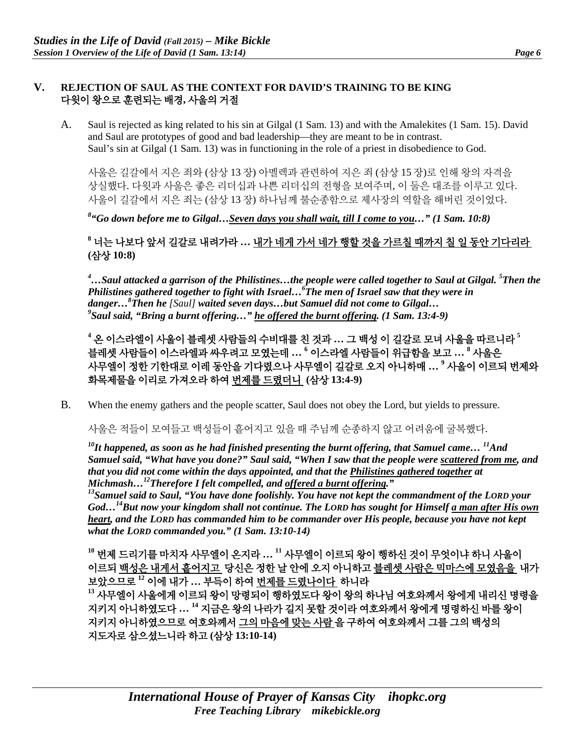#### **V. REJECTION OF SAUL AS THE CONTEXT FOR DAVID'S TRAINING TO BE KING**  다윗이 왕으로 훈련되는 배경**,** 사울의 거절

A. Saul is rejected as king related to his sin at Gilgal (1 Sam. 13) and with the Amalekites (1 Sam. 15). David and Saul are prototypes of good and bad leadership—they are meant to be in contrast. Saul's sin at Gilgal (1 Sam. 13) was in functioning in the role of a priest in disobedience to God.

사울은 길갈에서 지은 죄와 (삼상 13 장) 아멜렉과 관련하여 지은 죄 (삼상 15 장)로 인해 왕의 자격을 상실했다. 다윗과 사울은 좋은 리더십과 나쁜 리더십의 전형을 보여주며, 이 둘은 대조를 이루고 있다. 사울이 길갈에서 지은 죄는 (삼상 13 장) 하나님께 불순종함으로 제사장의 역할을 해버린 것이었다.

*8 "Go down before me to Gilgal…Seven days you shall wait, till I come to you…" (1 Sam. 10:8)*

## **<sup>8</sup>** 너는 나보다 앞서 길갈로 내려가라 **…** 내가 네게 가서 네가 행할 것을 가르칠 때까지 칠 일 동안 기다리라 **(**삼상 **10:8)**

*4 …Saul attacked a garrison of the Philistines…the people were called together to Saul at Gilgal. 5 Then the Philistines gathered together to fight with Israel…6 The men of Israel saw that they were in danger…8 Then he [Saul] waited seven days…but Samuel did not come to Gilgal… 9 Saul said, "Bring a burnt offering…" he offered the burnt offering. (1 Sam. 13:4-9)*

**<sup>4</sup>** 온 이스라엘이 사울이 블레셋 사람들의 수비대를 친 것과 **…** 그 백성 이 길갈로 모녀 사울을 따르니라 **<sup>5</sup>** 블레셋 사람들이 이스라엘과 싸우려고 모였는데 **… <sup>6</sup>** 이스라엘 사람들이 위급함을 보고 **… <sup>8</sup>** 사울은 사무엘이 정한 기한대로 이레 동안을 기다렸으나 사무엘이 길갈로 오지 아니하매 **… <sup>9</sup>** 사울이 이르되 번제와 화목제물을 이리로 가져오라 하여 번제를 드렸더니 **(**삼상 **13:4-9)**

B. When the enemy gathers and the people scatter, Saul does not obey the Lord, but yields to pressure.

사울은 적들이 모여들고 백성들이 흩어지고 있을 때 주님께 순종하지 않고 어려움에 굴복했다.

*10It happened, as soon as he had finished presenting the burnt offering, that Samuel came… 11And Samuel said, "What have you done?" Saul said, "When I saw that the people were scattered from me, and that you did not come within the days appointed, and that the Philistines gathered together at Michmash…12Therefore I felt compelled, and offered a burnt offering."* 

<sup>13</sup> Samuel said to Saul, "You have done foolishly. You have not kept the commandment of the LORD your *God…14But now your kingdom shall not continue. The LORD has sought for Himself a man after His own heart, and the LORD has commanded him to be commander over His people, because you have not kept what the LORD commanded you." (1 Sam. 13:10-14)*

**<sup>10</sup>** 번제 드리기를 마치자 사무엘이 온지라 **… <sup>11</sup>** 사무엘이 이르되 왕이 행하신 것이 무엇이냐 하니 사울이 이르되 백성은 내게서 흩어지고 당신은 정한 날 안에 오지 아니하고 블레셋 사람은 믹마스에 모였음을 내가 보았으므로 **<sup>12</sup>** 이에 내가 **…** 부득이 하여 번제를 드렸나이다 하니라 **<sup>13</sup>** 사무엘이 사울에게 이르되 왕이 망령되이 행하였도다 왕이 왕의 하나님 여호와께서 왕에게 내리신 명령을 지키지 아니하였도다 **… <sup>14</sup>** 지금은 왕의 나라가 길지 못할 것이라 여호와께서 왕에게 명령하신 바를 왕이 지키지 아니하였으므로 여호와께서 그의 마음에 맞는 사람 을 구하여 여호와께서 그를 그의 백성의 지도자로 삼으셨느니라 하고 **(**삼상 **13:10-14)**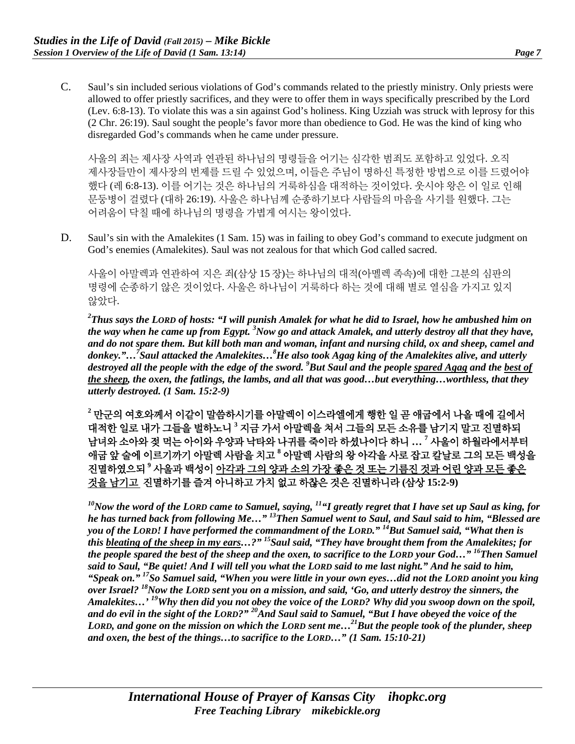C. Saul's sin included serious violations of God's commands related to the priestly ministry. Only priests were allowed to offer priestly sacrifices, and they were to offer them in ways specifically prescribed by the Lord (Lev. 6:8-13). To violate this was a sin against God's holiness. King Uzziah was struck with leprosy for this (2 Chr. 26:19). Saul sought the people's favor more than obedience to God. He was the kind of king who disregarded God's commands when he came under pressure.

사울의 죄는 제사장 사역과 연관된 하나님의 명령들을 어기는 심각한 범죄도 포함하고 있었다. 오직 제사장들만이 제사장의 번제를 드릴 수 있었으며, 이들은 주님이 명하신 특정한 방법으로 이를 드렸어야 했다 (레 6:8-13). 이를 어기는 것은 하나님의 거룩하심을 대적하는 것이었다. 웃시야 왕은 이 일로 인해 문둥병이 걸렸다 (대하 26:19). 사울은 하나님께 순종하기보다 사람들의 마음을 사기를 원했다. 그는 어려움이 닥칠 때에 하나님의 명령을 가볍게 여시는 왕이었다.

D. Saul's sin with the Amalekites (1 Sam. 15) was in failing to obey God's command to execute judgment on God's enemies (Amalekites). Saul was not zealous for that which God called sacred.

사울이 아말렉과 연관하여 지은 죄(삼상 15 장)는 하나님의 대적(아멜렉 족속)에 대한 그분의 심판의 명령에 순종하기 않은 것이었다. 사울은 하나님이 거룩하다 하는 것에 대해 별로 열심을 가지고 있지 않았다.

*2 Thus says the LORD of hosts: "I will punish Amalek for what he did to Israel, how he ambushed him on the way when he came up from Egypt. 3 Now go and attack Amalek, and utterly destroy all that they have, and do not spare them. But kill both man and woman, infant and nursing child, ox and sheep, camel and donkey."…7 Saul attacked the Amalekites…8 He also took Agag king of the Amalekites alive, and utterly destroyed all the people with the edge of the sword. 9 But Saul and the people spared Agag and the best of the sheep, the oxen, the fatlings, the lambs, and all that was good…but everything…worthless, that they utterly destroyed. (1 Sam. 15:2-9)*

**<sup>2</sup>** 만군의 여호와께서 이같이 말씀하시기를 아말렉이 이스라엘에게 행한 일 곧 애굽에서 나올 때에 길에서 대적한 일로 내가 그들을 벌하노니 **<sup>3</sup>** 지금 가서 아말렉을 쳐서 그들의 모든 소유를 남기지 말고 진멸하되 남녀와 소아와 젖 먹는 아이와 우양과 낙타와 나귀를 죽이라 하셨나이다 하니 **… 7** 사울이 하월라에서부터 애굽 앞 술에 이르기까기 아말렉 사람을 치고 **<sup>8</sup>** 아말렉 사람의 왕 아각을 사로 잡고 칼날로 그의 모든 백성을 진멸하였으되 **<sup>9</sup>** 사울과 백성이 아각과 그의 양과 소의 가장 좋은 것 또는 기름진 것과 어린 양과 모든 좋은 것을 남기고 진멸하기를 즐겨 아니하고 가치 없고 하찮은 것은 진멸하니라 **(**삼상 **15:2-9)**

*10Now the word of the LORD came to Samuel, saying, 11"I greatly regret that I have set up Saul as king, for he has turned back from following Me…" 13Then Samuel went to Saul, and Saul said to him, "Blessed are you of the LORD! I have performed the commandment of the LORD." 14But Samuel said, "What then is this bleating of the sheep in my ears…?" 15Saul said, "They have brought them from the Amalekites; for the people spared the best of the sheep and the oxen, to sacrifice to the LORD your God…" 16Then Samuel said to Saul, "Be quiet! And I will tell you what the LORD said to me last night." And he said to him, "Speak on." 17So Samuel said, "When you were little in your own eyes…did not the LORD anoint you king over Israel? 18Now the LORD sent you on a mission, and said, 'Go, and utterly destroy the sinners, the Amalekites…' 19Why then did you not obey the voice of the LORD? Why did you swoop down on the spoil, and do evil in the sight of the LORD?" 20And Saul said to Samuel, "But I have obeyed the voice of the LORD, and gone on the mission on which the LORD sent me…21But the people took of the plunder, sheep and oxen, the best of the things…to sacrifice to the LORD…" (1 Sam. 15:10-21)*